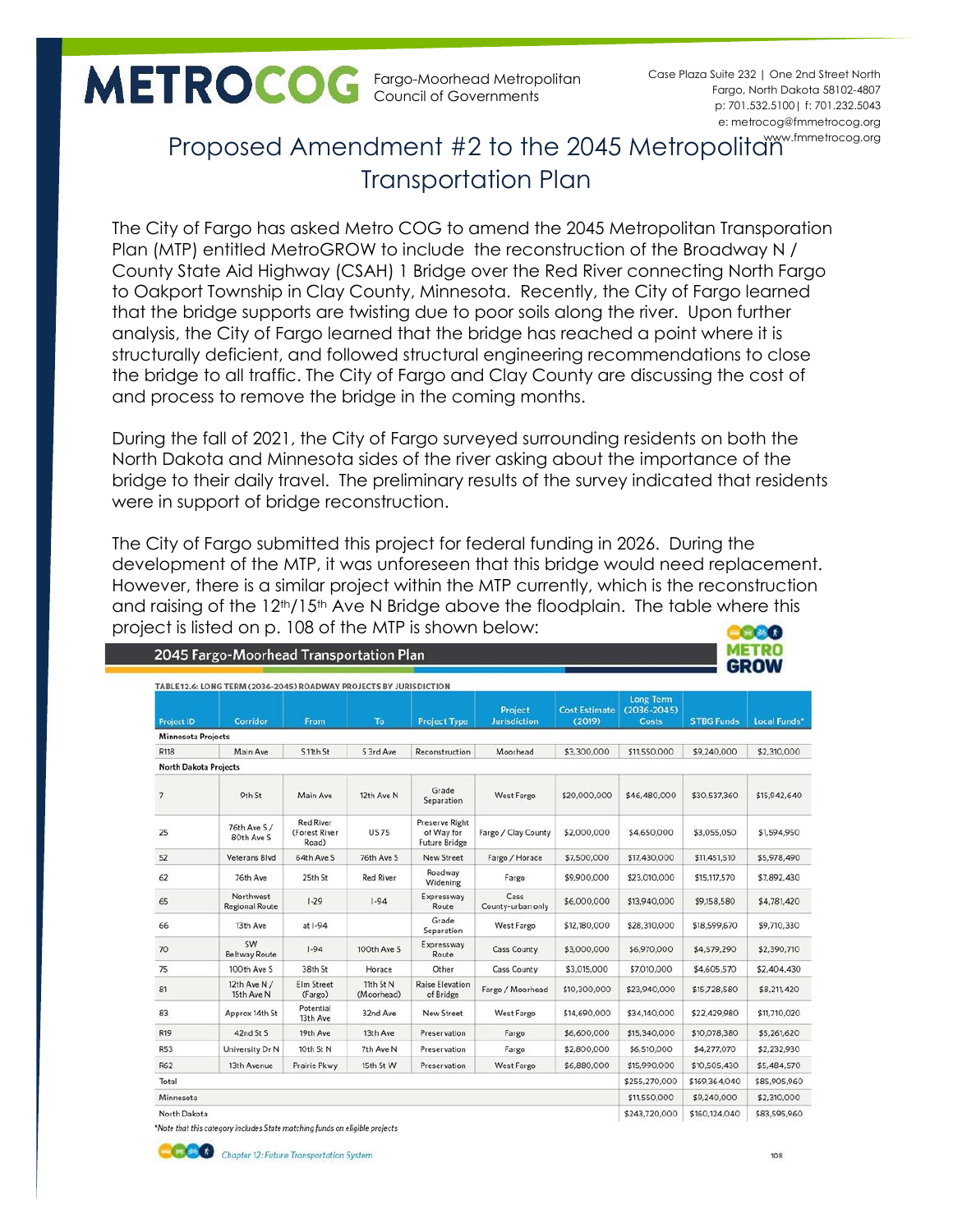Fargo-Moorhead Metropolitan Council of Governments

p: 701.532.5100| f: 701.232.5043 e: metrocog@fmmetrocog.org www.fmmetrocog.org Case Plaza Suite 232 | One 2nd Street North Fargo, North Dakota 58102-4807

## Proposed Amendment #2 to the 2045 Metropolitam Transportation Plan

The City of Fargo has asked Metro COG to amend the 2045 Metropolitan Transporation Plan (MTP) entitled MetroGROW to include the reconstruction of the Broadway N / County State Aid Highway (CSAH) 1 Bridge over the Red River connecting North Fargo to Oakport Township in Clay County, Minnesota. Recently, the City of Fargo learned that the bridge supports are twisting due to poor soils along the river. Upon further analysis, the City of Fargo learned that the bridge has reached a point where it is structurally deficient, and followed structural engineering recommendations to close the bridge to all traffic. The City of Fargo and Clay County are discussing the cost of and process to remove the bridge in the coming months.

During the fall of 2021, the City of Fargo surveyed surrounding residents on both the North Dakota and Minnesota sides of the river asking about the importance of the bridge to their daily travel. The preliminary results of the survey indicated that residents were in support of bridge reconstruction.

The City of Fargo submitted this project for federal funding in 2026. During the development of the MTP, it was unforeseen that this bridge would need replacement. However, there is a similar project within the MTP currently, which is the reconstruction and raising of the 12<sup>th</sup>/15<sup>th</sup> Ave N Bridge above the floodplain. The table where this project is listed on p. 108 of the MTP is shown below:**BG&O** 

| <b>METRO</b><br>2045 Fargo-Moorhead Transportation Plan<br><b>GROW</b> |                                    |                                            |                         |                                                      |                           |              |               |               |              |  |
|------------------------------------------------------------------------|------------------------------------|--------------------------------------------|-------------------------|------------------------------------------------------|---------------------------|--------------|---------------|---------------|--------------|--|
|                                                                        |                                    |                                            |                         |                                                      |                           |              |               |               |              |  |
| <b>Minnesota Projects</b>                                              |                                    |                                            |                         |                                                      |                           |              |               |               |              |  |
| R118                                                                   | Main Ave                           | S 11th St                                  | S 3rd Ave               | Reconstruction                                       | Moorhead                  | \$3,300,000  | \$11,550,000  | \$9,240,000   | \$2,310,000  |  |
| <b>North Dakota Projects</b>                                           |                                    |                                            |                         |                                                      |                           |              |               |               |              |  |
| $\overline{7}$                                                         | 9th St                             | Main Ave                                   | 12th Ave N              | Grade<br>Separation                                  | West Fargo                | \$20,000,000 | \$46,480,000  | \$30,537,360  | \$15,942,640 |  |
| 25                                                                     | 76th Ave S/<br>80th Ave S          | <b>Red River</b><br>(Forest River<br>Road) | <b>US75</b>             | Preserve Right<br>of Way for<br><b>Future Bridge</b> | Fargo / Clay County       | \$2,000,000  | \$4,650,000   | \$3,055,050   | \$1,594,950  |  |
| 52                                                                     | Veterans Blvd                      | 64th Ave S                                 | 76th Ave S              | New Street                                           | Fargo / Horace            | \$7,500,000  | \$17,430,000  | \$11,451,510  | \$5,978,490  |  |
| 62                                                                     | 76th Ave                           | 25th St                                    | <b>Red River</b>        | Roadway<br>Widening                                  | Fargo                     | \$9,900,000  | \$23,010,000  | \$15,117,570  | \$7,892,430  |  |
| 65                                                                     | Northwest<br><b>Regional Route</b> | $1 - 29$                                   | $1 - 94$                | Expressway<br>Route                                  | Cass<br>County-urban only | \$6,000,000  | \$13,940,000  | \$9,158,580   | \$4,781,420  |  |
| 66                                                                     | 13th Ave                           | at I-94                                    |                         | Grade<br>Separation                                  | <b>West Fargo</b>         | \$12,180,000 | \$28,310,000  | \$18,599,670  | \$9,710,330  |  |
| 70                                                                     | SW<br><b>Beltway Route</b>         | $1 - 94$                                   | 100th Ave S             | Expressway<br>Route                                  | Cass County               | \$3,000,000  | \$6,970,000   | \$4,579,290   | \$2,390,710  |  |
| 75                                                                     | 100th Ave S                        | 38th St                                    | Horace                  | Other                                                | <b>Cass County</b>        | \$3,015,000  | \$7,010,000   | \$4,605,570   | \$2,404,430  |  |
| 81                                                                     | 12th Ave N /<br>15th Ave N         | <b>Elm Street</b><br>(Fargo)               | 11th St N<br>(Moorhead) | <b>Raise Elevation</b><br>of Bridge                  | Fargo / Moorhead          | \$10,300,000 | \$23,940,000  | \$15,728,580  | \$8,211,420  |  |
| 83                                                                     | Approx 14th St                     | Potential<br>13th Ave                      | 32nd Ave                | <b>New Street</b>                                    | West Fargo                | \$14,690,000 | \$34,140,000  | \$22,429,980  | \$11,710,020 |  |
| <b>R19</b>                                                             | 42nd St S                          | 19th Ave                                   | 13th Ave                | Preservation                                         | Fargo                     | \$6,600,000  | \$15,340,000  | \$10,078,380  | \$5,261,620  |  |
| <b>R53</b>                                                             | University Dr N                    | 10th St N                                  | 7th Ave N               | Preservation                                         | Fargo                     | \$2,800,000  | \$6,510,000   | \$4,277,070   | \$2,232,930  |  |
| <b>R62</b>                                                             | 13th Avenue                        | Prairie Pkwy                               | 15th St W               | Preservation                                         | West Fargo                | \$6,880,000  | \$15,990,000  | \$10,505,430  | \$5,484,570  |  |
| Total                                                                  |                                    |                                            |                         |                                                      |                           |              | \$255,270,000 | \$169,364,040 | \$85,905,960 |  |
| Minnesota                                                              |                                    |                                            |                         |                                                      |                           |              | \$11,550,000  | \$9,240,000   | \$2,310,000  |  |
| North Dakota                                                           |                                    |                                            |                         |                                                      |                           |              | \$243,720,000 | \$160,124,040 | \$83,595,960 |  |

\*Note that this category includes State matching funds on eligible projects